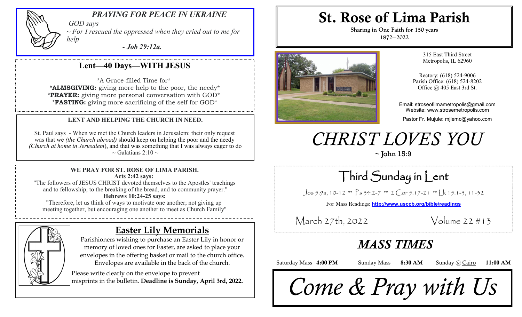

#### *PRAYING FOR PEACE IN UKRAINE*

*GOD says ~ For I rescued the oppressed when they cried out to me for help* 

*- Job 29:12a.*

### **Lent—40 Days—WITH JESUS**

\*A Grace-filled Time for\* \***ALMSGIVING:** giving more help to the poor, the needy\* \***PRAYER:** giving more personal conversation with GOD\* \***FASTING:** giving more sacrificing of the self for GOD\*

#### **LENT AND HELPING THE CHURCH IN NEED.**

St. Paul says - When we met the Church leaders in Jerusalem: their only request was that we *(the Church abroad)* should keep on helping the poor and the needy *(Church at home in Jerusalem*), and that was something that I was always eager to do  $\sim$  Galatians 2:10  $\sim$ 

#### **WE PRAY FOR ST. ROSE OF LIMA PARISH. Acts 2:42 says:**

"The followers of JESUS CHRIST devoted themselves to the Apostles' teachings and to fellowship, to the breaking of the bread, and to community prayer." **Hebrews 10:24-25 says:**

"Therefore, let us think of ways to motivate one another; not giving up meeting together, but encouraging one another to meet as Church Family"



### **Easter Lily Memorials**

Parishioners wishing to purchase an Easter Lily in honor or memory of loved ones for Easter, are asked to place your envelopes in the offering basket or mail to the church office. Envelopes are available in the back of the church.

Please write clearly on the envelope to prevent misprints in the bulletin. **Deadline is Sunday, April 3rd, 2022.** 

# St. Rose of Lima Parish

**Sharing in One Faith for 150 years 1872—2022**



315 East Third Street Metropolis, IL 62960

Rectory: (618) 524-9006 Parish Office: (618) 524-8202 Office @ 405 East 3rd St.

Email: stroseoflimametropolis@gmail.com Website: www.strosemetropolis.com

Pastor Fr. Mujule: mjlemc@yahoo.com

# *CHRIST LOVES YOU*

 $\sim$  John 15:9

# Third Sunday in Lent

Jos 5:9a, 10-12 \*\* Ps 34:2-7 \*\* 2 Cor 5:17-21 \*\* Lk 15:1-3, 11-32

For Mass Readings: **http://www.usccb.org/bible/readings**

March 27th, 2022 Volume 22 #13

## *MASS TIMES*

Saturday Mass 4:00 PM Sunday Mass 8:30 AM Sunday @ Cairo 11:00 AM